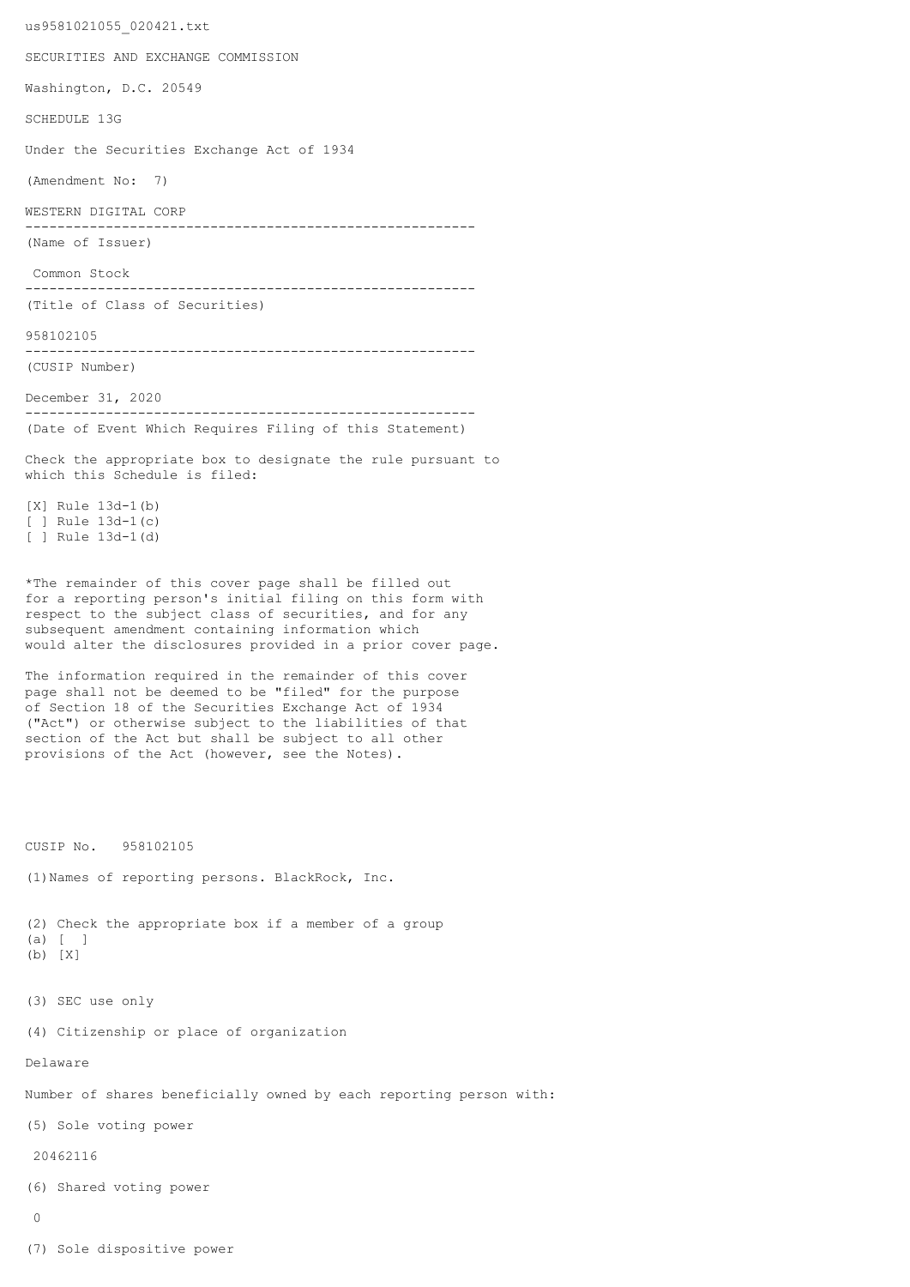us9581021055\_020421.txt SECURITIES AND EXCHANGE COMMISSION Washington, D.C. 20549 SCHEDULE 13G Under the Securities Exchange Act of 1934 (Amendment No: 7) WESTERN DIGITAL CORP -------------------------------------------------------- (Name of Issuer) Common Stock -------------------------------------------------------- (Title of Class of Securities) 958102105 -------------------------------------------------------- (CUSIP Number) December 31, 2020 -------------------------------------------------------- (Date of Event Which Requires Filing of this Statement) Check the appropriate box to designate the rule pursuant to which this Schedule is filed: [X] Rule 13d-1(b) [ ] Rule 13d-1(c) [ ] Rule 13d-1(d) \*The remainder of this cover page shall be filled out for a reporting person's initial filing on this form with respect to the subject class of securities, and for any subsequent amendment containing information which would alter the disclosures provided in a prior cover page. The information required in the remainder of this cover page shall not be deemed to be "filed" for the purpose of Section 18 of the Securities Exchange Act of 1934 ("Act") or otherwise subject to the liabilities of that section of the Act but shall be subject to all other provisions of the Act (however, see the Notes). CUSIP No. 958102105 (1)Names of reporting persons. BlackRock, Inc. (2) Check the appropriate box if a member of a group (a) [ ] (b) [X] (3) SEC use only (4) Citizenship or place of organization Delaware Number of shares beneficially owned by each reporting person with: (5) Sole voting power 20462116 (6) Shared voting power  $\cap$ (7) Sole dispositive power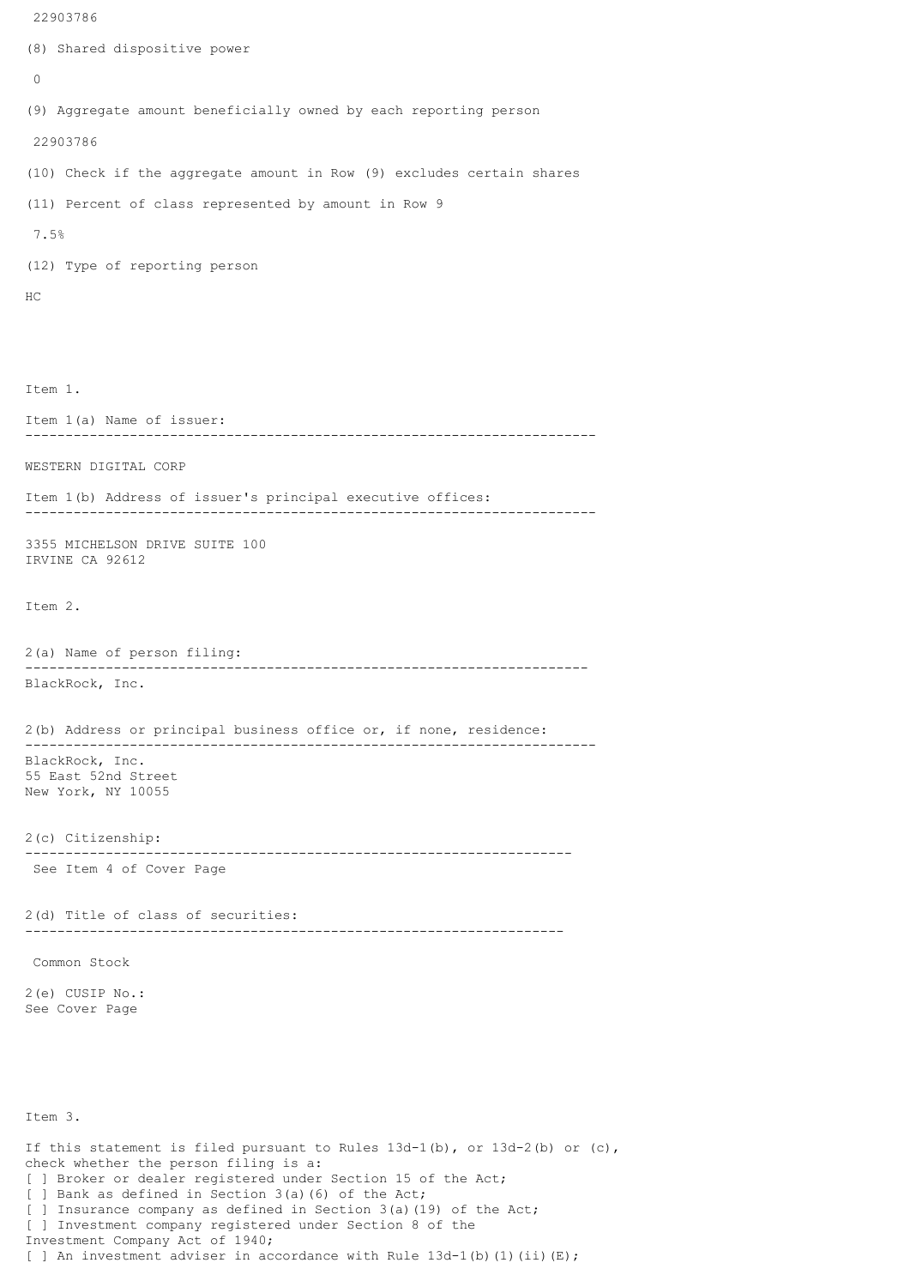```
(8) Shared dispositive power
 \Omega(9) Aggregate amount beneficially owned by each reporting person
 22903786
(10) Check if the aggregate amount in Row (9) excludes certain shares
(11) Percent of class represented by amount in Row 9
 7.5%
(12) Type of reporting person
HC
Item 1.
Item 1(a) Name of issuer:
          -----------------------------------------------------------------------
WESTERN DIGITAL CORP
Item 1(b) Address of issuer's principal executive offices:
-----------------------------------------------------------------------
3355 MICHELSON DRIVE SUITE 100
IRVINE CA 92612
Item 2.
2(a) Name of person filing:
    ----------------------------------------------------------------------
BlackRock, Inc.
2(b) Address or principal business office or, if none, residence:
-----------------------------------------------------------------------
BlackRock, Inc.
55 East 52nd Street
New York, NY 10055
2(c) Citizenship:
 --------------------------------------------------------------------
 See Item 4 of Cover Page
2(d) Title of class of securities:
                                    -------------------------------------------------------------------
 Common Stock
2(e) CUSIP No.:
See Cover Page
Item 3.
If this statement is filed pursuant to Rules 13d-1(b), or 13d-2(b) or (c),
check whether the person filing is a:
[ ] Broker or dealer registered under Section 15 of the Act;
[ ] Bank as defined in Section 3(a)(6) of the Act;
[ ] Insurance company as defined in Section 3(a)(19) of the Act;
```
[ ] Investment company registered under Section 8 of the

[ ] An investment adviser in accordance with Rule  $13d-1$ (b)(1)(ii)(E);

Investment Company Act of 1940;

22903786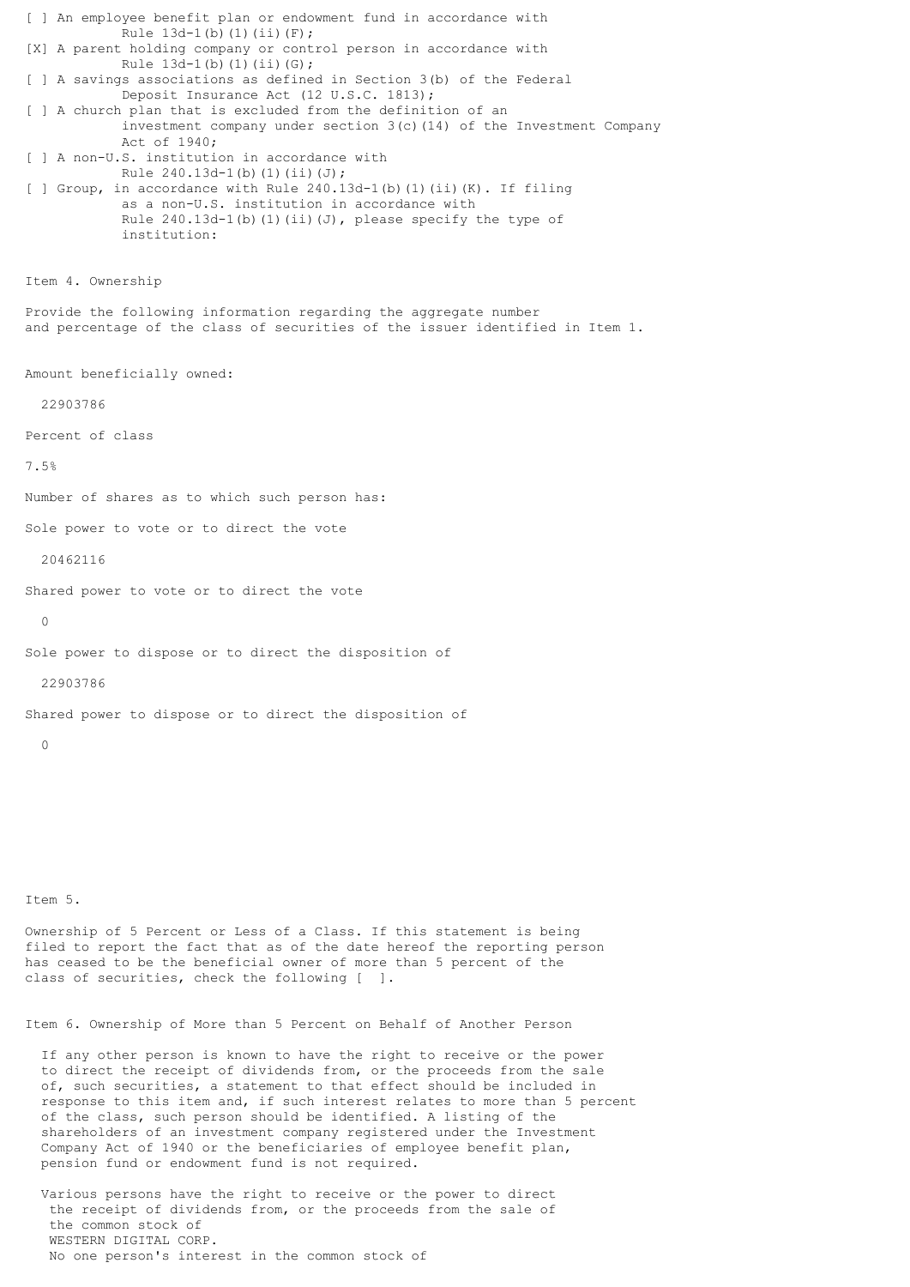[ ] An employee benefit plan or endowment fund in accordance with Rule 13d-1(b)(1)(ii)(F); [X] A parent holding company or control person in accordance with Rule  $13d-1(b)(1)(ii)(G);$ [ ] A savings associations as defined in Section 3(b) of the Federal Deposit Insurance Act (12 U.S.C. 1813); [ ] A church plan that is excluded from the definition of an investment company under section  $3(c)$  (14) of the Investment Company Act of 1940; [ ] A non-U.S. institution in accordance with Rule  $240.13d-1(b)(1)(ii)(J);$ [ ] Group, in accordance with Rule 240.13d-1(b)(1)(ii)(K). If filing as a non-U.S. institution in accordance with Rule  $240.13d-1$ (b)(1)(ii)(J), please specify the type of institution: Item 4. Ownership Provide the following information regarding the aggregate number and percentage of the class of securities of the issuer identified in Item 1. Amount beneficially owned: 22903786 Percent of class 7.5% Number of shares as to which such person has: Sole power to vote or to direct the vote 20462116 Shared power to vote or to direct the vote  $\Omega$ Sole power to dispose or to direct the disposition of 22903786 Shared power to dispose or to direct the disposition of  $\cap$ Item 5.

Ownership of 5 Percent or Less of a Class. If this statement is being filed to report the fact that as of the date hereof the reporting person has ceased to be the beneficial owner of more than 5 percent of the class of securities, check the following [ ].

Item 6. Ownership of More than 5 Percent on Behalf of Another Person

 If any other person is known to have the right to receive or the power to direct the receipt of dividends from, or the proceeds from the sale of, such securities, a statement to that effect should be included in response to this item and, if such interest relates to more than 5 percent of the class, such person should be identified. A listing of the shareholders of an investment company registered under the Investment Company Act of 1940 or the beneficiaries of employee benefit plan, pension fund or endowment fund is not required.

 Various persons have the right to receive or the power to direct the receipt of dividends from, or the proceeds from the sale of the common stock of WESTERN DIGITAL CORP. No one person's interest in the common stock of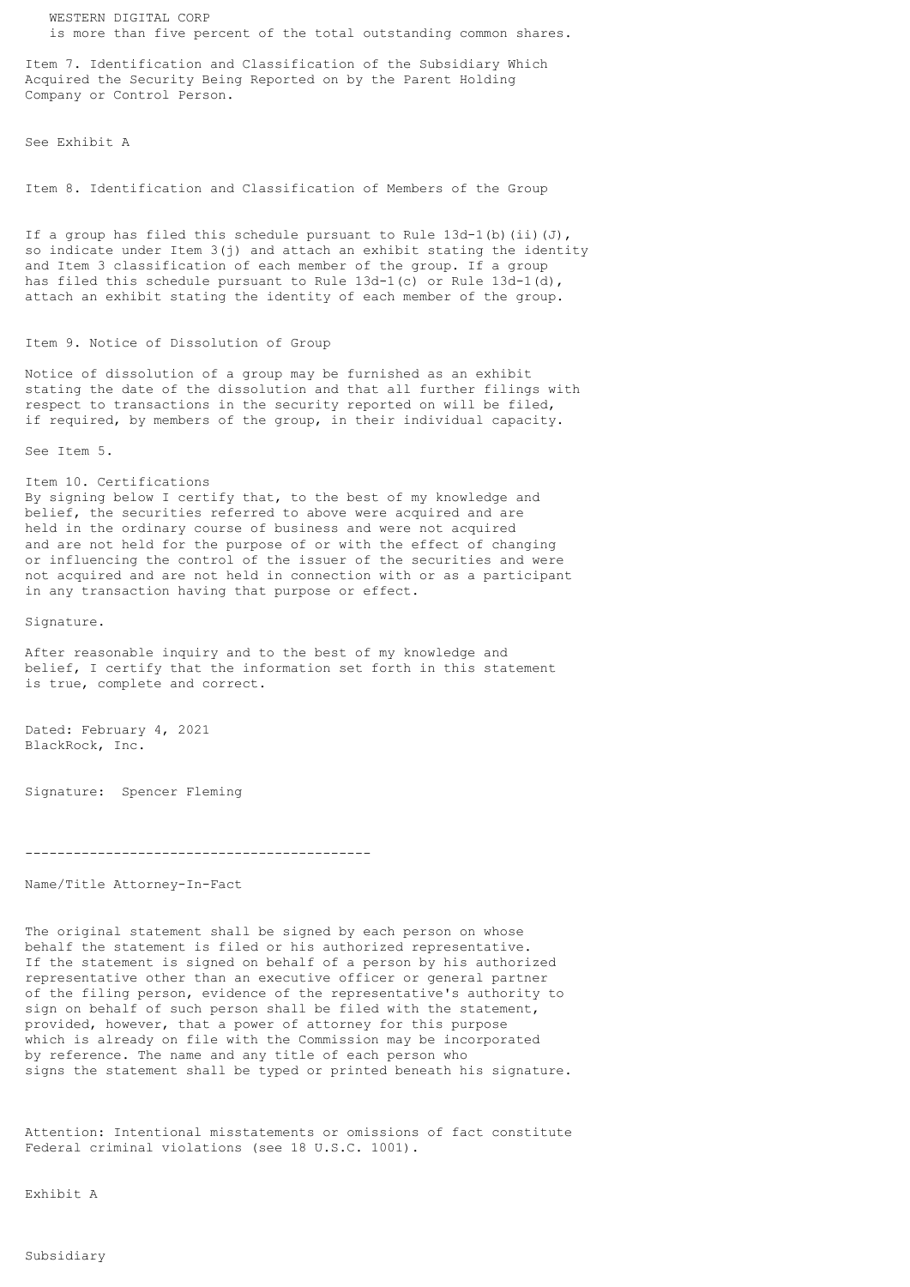WESTERN DIGITAL CORP is more than five percent of the total outstanding common shares.

Item 7. Identification and Classification of the Subsidiary Which Acquired the Security Being Reported on by the Parent Holding Company or Control Person.

See Exhibit A

Item 8. Identification and Classification of Members of the Group

If a group has filed this schedule pursuant to Rule  $13d-1(b)$  (ii)(J), so indicate under Item 3(j) and attach an exhibit stating the identity and Item 3 classification of each member of the group. If a group has filed this schedule pursuant to Rule 13d-1(c) or Rule 13d-1(d), attach an exhibit stating the identity of each member of the group.

## Item 9. Notice of Dissolution of Group

Notice of dissolution of a group may be furnished as an exhibit stating the date of the dissolution and that all further filings with respect to transactions in the security reported on will be filed, if required, by members of the group, in their individual capacity.

See Item 5.

Item 10. Certifications

By signing below I certify that, to the best of my knowledge and belief, the securities referred to above were acquired and are held in the ordinary course of business and were not acquired and are not held for the purpose of or with the effect of changing or influencing the control of the issuer of the securities and were not acquired and are not held in connection with or as a participant in any transaction having that purpose or effect.

Signature.

After reasonable inquiry and to the best of my knowledge and belief, I certify that the information set forth in this statement is true, complete and correct.

Dated: February 4, 2021 BlackRock, Inc.

Signature: Spencer Fleming

-------------------------------------------

Name/Title Attorney-In-Fact

The original statement shall be signed by each person on whose behalf the statement is filed or his authorized representative. If the statement is signed on behalf of a person by his authorized representative other than an executive officer or general partner of the filing person, evidence of the representative's authority to sign on behalf of such person shall be filed with the statement, provided, however, that a power of attorney for this purpose which is already on file with the Commission may be incorporated by reference. The name and any title of each person who signs the statement shall be typed or printed beneath his signature.

Attention: Intentional misstatements or omissions of fact constitute Federal criminal violations (see 18 U.S.C. 1001).

Exhibit A